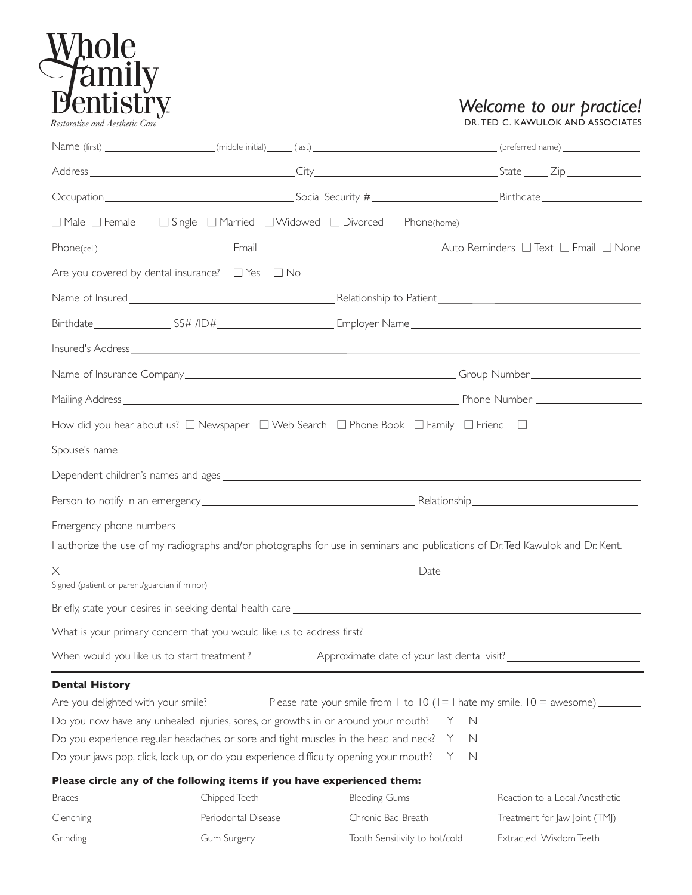

## *Welcome to our practice!*

*Restorative and Aesthetic Care*  $\overline{C}$   $\overline{C}$   $\overline{D}$   $\overline{D}$   $\overline{D}$ . The c. KAWULOK AND ASSOCIATES

| $\Box$ Male $\Box$ Female                    | $\Box$ Single $\Box$ Married $\Box$ Widowed $\Box$ Divorced                                                                    |                      |                               |                                                                                                                |  |  |  |  |
|----------------------------------------------|--------------------------------------------------------------------------------------------------------------------------------|----------------------|-------------------------------|----------------------------------------------------------------------------------------------------------------|--|--|--|--|
|                                              |                                                                                                                                |                      |                               |                                                                                                                |  |  |  |  |
|                                              | Are you covered by dental insurance? $\Box$ Yes $\Box$ No                                                                      |                      |                               |                                                                                                                |  |  |  |  |
|                                              |                                                                                                                                |                      |                               |                                                                                                                |  |  |  |  |
|                                              |                                                                                                                                |                      |                               | Birthdate____________________SS# /ID#___________________________Employer Name_________________________________ |  |  |  |  |
|                                              |                                                                                                                                |                      |                               |                                                                                                                |  |  |  |  |
|                                              |                                                                                                                                |                      |                               |                                                                                                                |  |  |  |  |
|                                              |                                                                                                                                |                      |                               |                                                                                                                |  |  |  |  |
|                                              |                                                                                                                                |                      |                               | How did you hear about us? □ Newspaper □ Web Search □ Phone Book □ Family □ Friend □ □ □ □ □ □ □ □ □           |  |  |  |  |
|                                              |                                                                                                                                |                      |                               |                                                                                                                |  |  |  |  |
|                                              |                                                                                                                                |                      |                               |                                                                                                                |  |  |  |  |
|                                              |                                                                                                                                |                      |                               |                                                                                                                |  |  |  |  |
|                                              |                                                                                                                                |                      |                               |                                                                                                                |  |  |  |  |
|                                              | I authorize the use of my radiographs and/or photographs for use in seminars and publications of Dr. Ted Kawulok and Dr. Kent. |                      |                               |                                                                                                                |  |  |  |  |
|                                              |                                                                                                                                |                      |                               |                                                                                                                |  |  |  |  |
| Signed (patient or parent/guardian if minor) |                                                                                                                                |                      |                               |                                                                                                                |  |  |  |  |
|                                              |                                                                                                                                |                      |                               |                                                                                                                |  |  |  |  |
|                                              |                                                                                                                                |                      |                               |                                                                                                                |  |  |  |  |
| When would you like us to start treatment?   |                                                                                                                                |                      |                               | Approximate date of your last dental visit?                                                                    |  |  |  |  |
| <b>Dental History</b>                        |                                                                                                                                |                      |                               |                                                                                                                |  |  |  |  |
|                                              |                                                                                                                                |                      |                               |                                                                                                                |  |  |  |  |
|                                              | Do you now have any unhealed injuries, sores, or growths in or around your mouth?                                              |                      | $\mathbb N$<br>Y              |                                                                                                                |  |  |  |  |
|                                              | Do you experience regular headaches, or sore and tight muscles in the head and neck?                                           |                      | N<br>Y                        |                                                                                                                |  |  |  |  |
|                                              | Do your jaws pop, click, lock up, or do you experience difficulty opening your mouth?                                          |                      | $\mathbb N$<br>Y              |                                                                                                                |  |  |  |  |
|                                              | Please circle any of the following items if you have experienced them:                                                         |                      |                               |                                                                                                                |  |  |  |  |
| <b>Braces</b>                                | Chipped Teeth                                                                                                                  | <b>Bleeding Gums</b> |                               | Reaction to a Local Anesthetic                                                                                 |  |  |  |  |
| Clenching                                    | Periodontal Disease                                                                                                            | Chronic Bad Breath   |                               | Treatment for Jaw Joint (TMJ)                                                                                  |  |  |  |  |
| Grinding                                     | Gum Surgery                                                                                                                    |                      | Tooth Sensitivity to hot/cold | Extracted Wisdom Teeth                                                                                         |  |  |  |  |